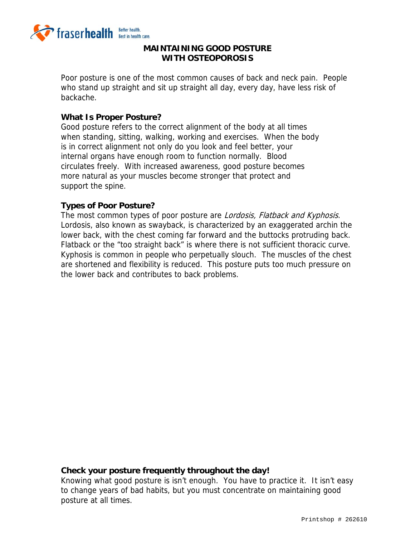

#### **MAINTAINING GOOD POSTURE WITH OSTEOPOROSIS**

Poor posture is one of the most common causes of back and neck pain. People who stand up straight and sit up straight all day, every day, have less risk of backache.

#### **What Is Proper Posture?**

Good posture refers to the correct alignment of the body at all times when standing, sitting, walking, working and exercises. When the body is in correct alignment not only do you look and feel better, your internal organs have enough room to function normally. Blood circulates freely. With increased awareness, good posture becomes more natural as your muscles become stronger that protect and support the spine.

#### **Types of Poor Posture?**

The most common types of poor posture are Lordosis, Flatback and Kyphosis. Lordosis, also known as swayback, is characterized by an exaggerated archin the lower back, with the chest coming far forward and the buttocks protruding back. Flatback or the "too straight back" is where there is not sufficient thoracic curve. Kyphosis is common in people who perpetually slouch. The muscles of the chest are shortened and flexibility is reduced. This posture puts too much pressure on the lower back and contributes to back problems.

#### **Check your posture frequently throughout the day!**

Knowing what good posture is isn't enough. You have to practice it. It isn't easy to change years of bad habits, but you must concentrate on maintaining good posture at all times.